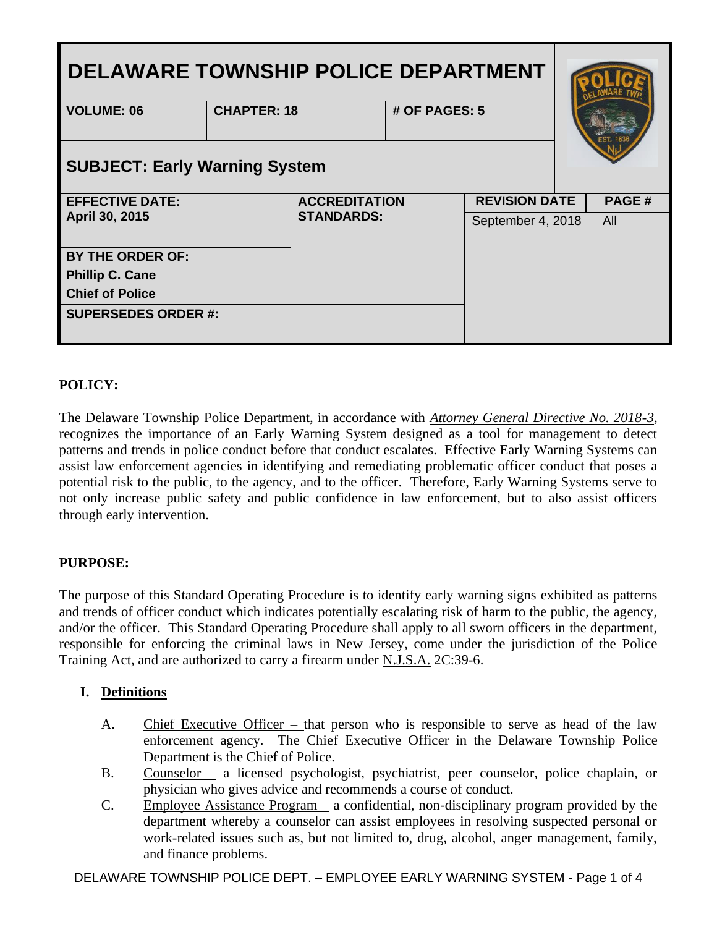| <b>DELAWARE TOWNSHIP POLICE DEPARTMENT</b> |                    |                      |               |                      |  |       |
|--------------------------------------------|--------------------|----------------------|---------------|----------------------|--|-------|
| <b>VOLUME: 06</b>                          | <b>CHAPTER: 18</b> |                      | # OF PAGES: 5 |                      |  |       |
| <b>SUBJECT: Early Warning System</b>       |                    |                      |               |                      |  |       |
| <b>EFFECTIVE DATE:</b>                     |                    | <b>ACCREDITATION</b> |               | <b>REVISION DATE</b> |  | PAGE# |
| April 30, 2015                             |                    | <b>STANDARDS:</b>    |               | September 4, 2018    |  | All   |
| <b>BY THE ORDER OF:</b>                    |                    |                      |               |                      |  |       |
| <b>Phillip C. Cane</b>                     |                    |                      |               |                      |  |       |
| <b>Chief of Police</b>                     |                    |                      |               |                      |  |       |
| <b>SUPERSEDES ORDER #:</b>                 |                    |                      |               |                      |  |       |

# **POLICY:**

The Delaware Township Police Department, in accordance with *Attorney General Directive No. 2018-3*, recognizes the importance of an Early Warning System designed as a tool for management to detect patterns and trends in police conduct before that conduct escalates. Effective Early Warning Systems can assist law enforcement agencies in identifying and remediating problematic officer conduct that poses a potential risk to the public, to the agency, and to the officer. Therefore, Early Warning Systems serve to not only increase public safety and public confidence in law enforcement, but to also assist officers through early intervention.

# **PURPOSE:**

The purpose of this Standard Operating Procedure is to identify early warning signs exhibited as patterns and trends of officer conduct which indicates potentially escalating risk of harm to the public, the agency, and/or the officer. This Standard Operating Procedure shall apply to all sworn officers in the department, responsible for enforcing the criminal laws in New Jersey, come under the jurisdiction of the Police Training Act, and are authorized to carry a firearm under N.J.S.A. 2C:39-6.

## **I. Definitions**

- A. Chief Executive Officer that person who is responsible to serve as head of the law enforcement agency. The Chief Executive Officer in the Delaware Township Police Department is the Chief of Police.
- B. Counselor a licensed psychologist, psychiatrist, peer counselor, police chaplain, or physician who gives advice and recommends a course of conduct.
- C. Employee Assistance Program a confidential, non-disciplinary program provided by the department whereby a counselor can assist employees in resolving suspected personal or work-related issues such as, but not limited to, drug, alcohol, anger management, family, and finance problems.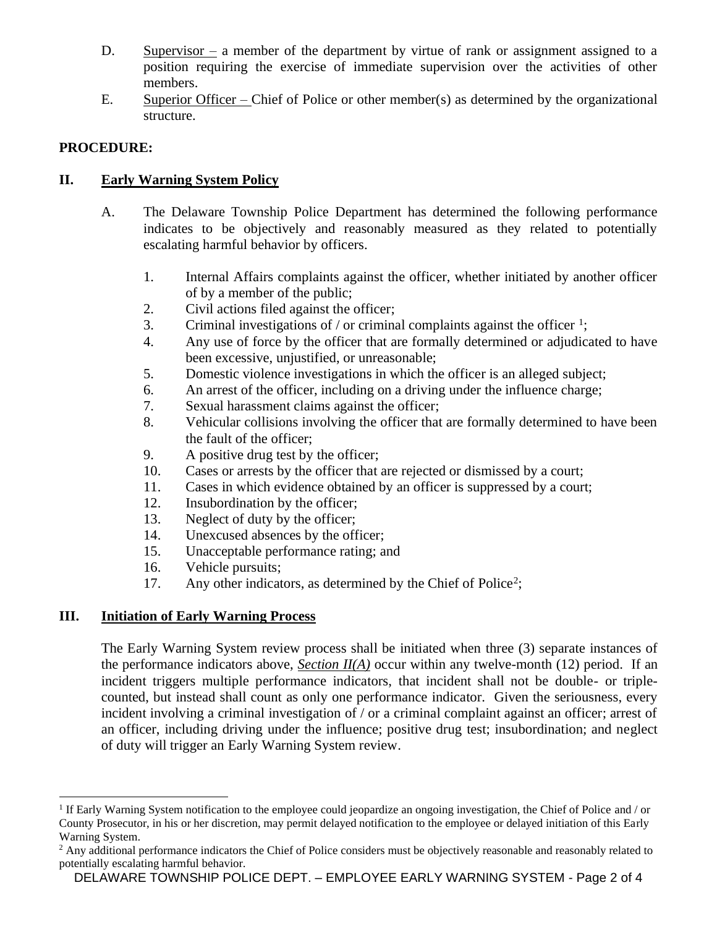- D. Supervisor a member of the department by virtue of rank or assignment assigned to a position requiring the exercise of immediate supervision over the activities of other members.
- E. Superior Officer Chief of Police or other member(s) as determined by the organizational structure.

# **PROCEDURE:**

# **II. Early Warning System Policy**

- A. The Delaware Township Police Department has determined the following performance indicates to be objectively and reasonably measured as they related to potentially escalating harmful behavior by officers.
	- 1. Internal Affairs complaints against the officer, whether initiated by another officer of by a member of the public;
	- 2. Civil actions filed against the officer;
	- 3. Criminal investigations of / or criminal complaints against the officer  $\frac{1}{2}$ ;
	- 4. Any use of force by the officer that are formally determined or adjudicated to have been excessive, unjustified, or unreasonable;
	- 5. Domestic violence investigations in which the officer is an alleged subject;
	- 6. An arrest of the officer, including on a driving under the influence charge;
	- 7. Sexual harassment claims against the officer;
	- 8. Vehicular collisions involving the officer that are formally determined to have been the fault of the officer;
	- 9. A positive drug test by the officer;
	- 10. Cases or arrests by the officer that are rejected or dismissed by a court;
	- 11. Cases in which evidence obtained by an officer is suppressed by a court;
	- 12. Insubordination by the officer;
	- 13. Neglect of duty by the officer;
	- 14. Unexcused absences by the officer;
	- 15. Unacceptable performance rating; and
	- 16. Vehicle pursuits;
	- 17. Any other indicators, as determined by the Chief of Police<sup>2</sup>;

# **III. Initiation of Early Warning Process**

The Early Warning System review process shall be initiated when three (3) separate instances of the performance indicators above, *Section II(A)* occur within any twelve-month (12) period. If an incident triggers multiple performance indicators, that incident shall not be double- or triplecounted, but instead shall count as only one performance indicator. Given the seriousness, every incident involving a criminal investigation of / or a criminal complaint against an officer; arrest of an officer, including driving under the influence; positive drug test; insubordination; and neglect of duty will trigger an Early Warning System review.

<sup>&</sup>lt;sup>1</sup> If Early Warning System notification to the employee could jeopardize an ongoing investigation, the Chief of Police and / or County Prosecutor, in his or her discretion, may permit delayed notification to the employee or delayed initiation of this Early Warning System.

<sup>&</sup>lt;sup>2</sup> Any additional performance indicators the Chief of Police considers must be objectively reasonable and reasonably related to potentially escalating harmful behavior.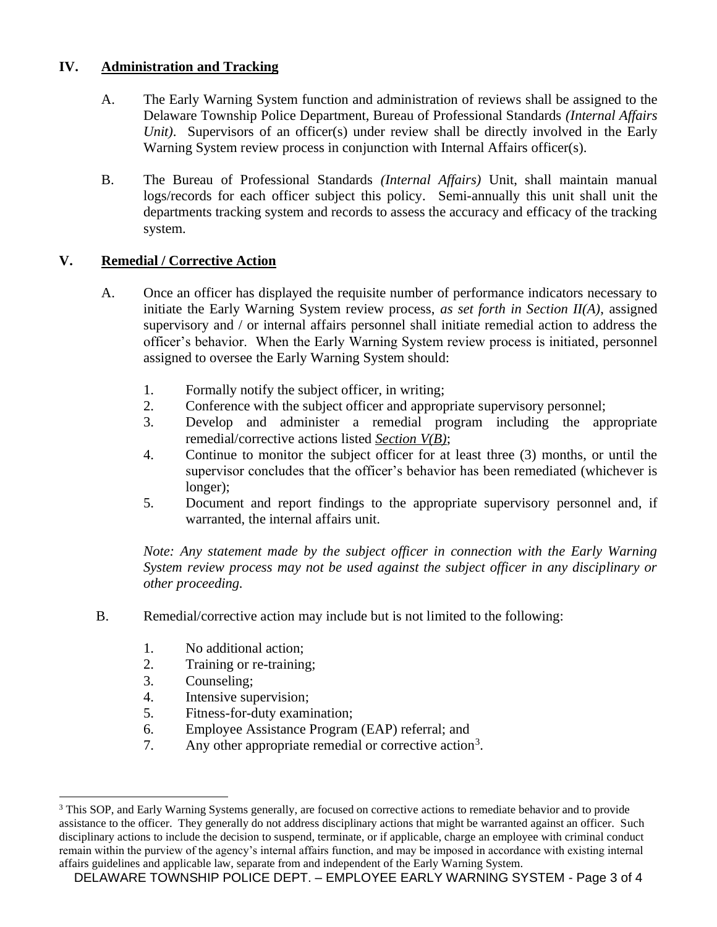## **IV. Administration and Tracking**

- A. The Early Warning System function and administration of reviews shall be assigned to the Delaware Township Police Department, Bureau of Professional Standards *(Internal Affairs Unit*). Supervisors of an officer(s) under review shall be directly involved in the Early Warning System review process in conjunction with Internal Affairs officer(s).
- B. The Bureau of Professional Standards *(Internal Affairs)* Unit, shall maintain manual logs/records for each officer subject this policy. Semi-annually this unit shall unit the departments tracking system and records to assess the accuracy and efficacy of the tracking system.

## **V. Remedial / Corrective Action**

- A. Once an officer has displayed the requisite number of performance indicators necessary to initiate the Early Warning System review process, *as set forth in Section II(A)*, assigned supervisory and / or internal affairs personnel shall initiate remedial action to address the officer's behavior. When the Early Warning System review process is initiated, personnel assigned to oversee the Early Warning System should:
	- 1. Formally notify the subject officer, in writing;
	- 2. Conference with the subject officer and appropriate supervisory personnel;
	- 3. Develop and administer a remedial program including the appropriate remedial/corrective actions listed *Section V(B)*;
	- 4. Continue to monitor the subject officer for at least three (3) months, or until the supervisor concludes that the officer's behavior has been remediated (whichever is longer);
	- 5. Document and report findings to the appropriate supervisory personnel and, if warranted, the internal affairs unit.

*Note: Any statement made by the subject officer in connection with the Early Warning System review process may not be used against the subject officer in any disciplinary or other proceeding.*

- B. Remedial/corrective action may include but is not limited to the following:
	- 1. No additional action;
	- 2. Training or re-training;
	- 3. Counseling;
	- 4. Intensive supervision;
	- 5. Fitness-for-duty examination;
	- 6. Employee Assistance Program (EAP) referral; and
	- 7. Any other appropriate remedial or corrective action<sup>3</sup>.

<sup>&</sup>lt;sup>3</sup> This SOP, and Early Warning Systems generally, are focused on corrective actions to remediate behavior and to provide assistance to the officer. They generally do not address disciplinary actions that might be warranted against an officer. Such disciplinary actions to include the decision to suspend, terminate, or if applicable, charge an employee with criminal conduct remain within the purview of the agency's internal affairs function, and may be imposed in accordance with existing internal affairs guidelines and applicable law, separate from and independent of the Early Warning System.